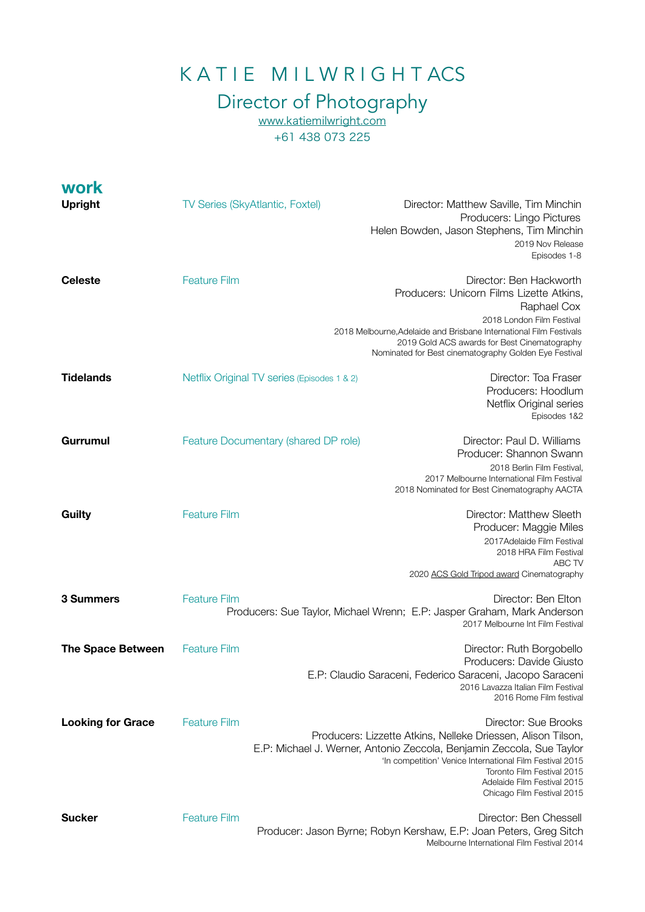## K A T I E M I L W R I G H T ACS

## Director of Photography

[www.katiemilwright.com](http://www.katiemilwright.com) +61 438 073 225

| <b>work</b>              |                                                                                                                                                           |  |                                                                                                                                                                                                                                                                                                                      |
|--------------------------|-----------------------------------------------------------------------------------------------------------------------------------------------------------|--|----------------------------------------------------------------------------------------------------------------------------------------------------------------------------------------------------------------------------------------------------------------------------------------------------------------------|
| <b>Upright</b>           | <b>TV Series (SkyAtlantic, Foxtel)</b>                                                                                                                    |  | Director: Matthew Saville, Tim Minchin<br>Producers: Lingo Pictures<br>Helen Bowden, Jason Stephens, Tim Minchin<br>2019 Nov Release<br>Episodes 1-8                                                                                                                                                                 |
| <b>Celeste</b>           | <b>Feature Film</b>                                                                                                                                       |  | Director: Ben Hackworth<br>Producers: Unicorn Films Lizette Atkins,<br>Raphael Cox<br>2018 London Film Festival<br>2018 Melbourne, Adelaide and Brisbane International Film Festivals<br>2019 Gold ACS awards for Best Cinematography<br>Nominated for Best cinematography Golden Eye Festival                       |
| <b>Tidelands</b>         | Netflix Original TV series (Episodes 1 & 2)                                                                                                               |  | Director: Toa Fraser<br>Producers: Hoodlum<br>Netflix Original series<br>Episodes 1&2                                                                                                                                                                                                                                |
| <b>Gurrumul</b>          | Feature Documentary (shared DP role)                                                                                                                      |  | Director: Paul D. Williams<br>Producer: Shannon Swann<br>2018 Berlin Film Festival,<br>2017 Melbourne International Film Festival<br>2018 Nominated for Best Cinematography AACTA                                                                                                                                    |
| <b>Guilty</b>            | <b>Feature Film</b>                                                                                                                                       |  | Director: Matthew Sleeth<br>Producer: Maggie Miles<br>2017Adelaide Film Festival<br>2018 HRA Film Festival<br>ABC TV<br>2020 ACS Gold Tripod award Cinematography                                                                                                                                                    |
| 3 Summers                | <b>Feature Film</b><br>Director: Ben Elton<br>Producers: Sue Taylor, Michael Wrenn; E.P: Jasper Graham, Mark Anderson<br>2017 Melbourne Int Film Festival |  |                                                                                                                                                                                                                                                                                                                      |
| <b>The Space Between</b> | <b>Feature Film</b>                                                                                                                                       |  | Director: Ruth Borgobello<br>Producers: Davide Giusto<br>E.P: Claudio Saraceni, Federico Saraceni, Jacopo Saraceni<br>2016 Lavazza Italian Film Festival<br>2016 Rome Film festival                                                                                                                                  |
| <b>Looking for Grace</b> | <b>Feature Film</b>                                                                                                                                       |  | Director: Sue Brooks<br>Producers: Lizzette Atkins, Nelleke Driessen, Alison Tilson,<br>E.P: Michael J. Werner, Antonio Zeccola, Benjamin Zeccola, Sue Taylor<br>'In competition' Venice International Film Festival 2015<br>Toronto Film Festival 2015<br>Adelaide Film Festival 2015<br>Chicago Film Festival 2015 |
| <b>Sucker</b>            | <b>Feature Film</b>                                                                                                                                       |  | Director: Ben Chessell<br>Producer: Jason Byrne; Robyn Kershaw, E.P: Joan Peters, Greg Sitch<br>Melbourne International Film Festival 2014                                                                                                                                                                           |